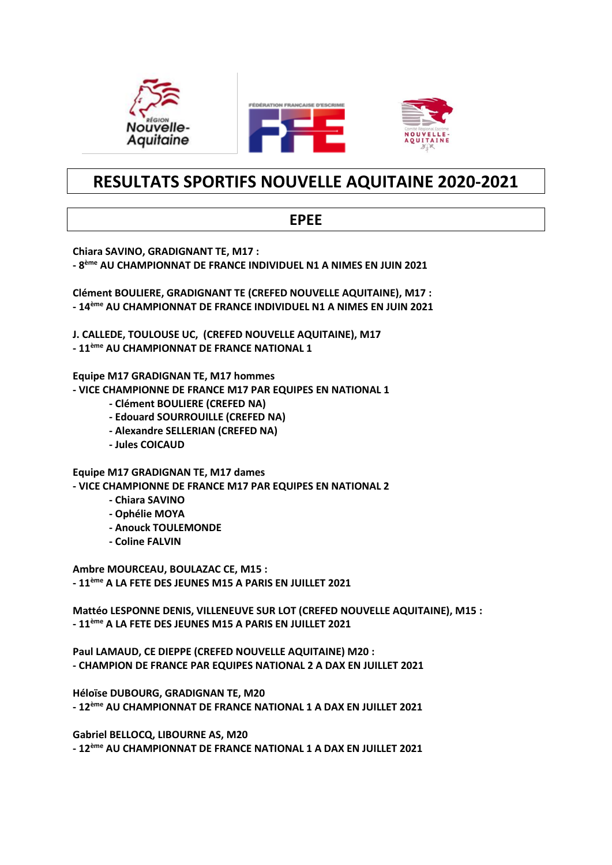

# RESULTATS SPORTIFS NOUVELLE AQUITAINE 2020-2021

### **EPEE**

Chiara SAVINO, GRADIGNANT TE, M17 :

- 8<sup>ème</sup> AU CHAMPIONNAT DE FRANCE INDIVIDUEL N1 A NIMES EN JUIN 2021

Clément BOULIERE, GRADIGNANT TE (CREFED NOUVELLE AQUITAINE), M17 : - 14<sup>ème</sup> AU CHAMPIONNAT DE FRANCE INDIVIDUEL N1 A NIMES EN JUIN 2021

J. CALLEDE, TOULOUSE UC, (CREFED NOUVELLE AQUITAINE), M17

- 11<sup>ème</sup> AU CHAMPIONNAT DE FRANCE NATIONAL 1

Equipe M17 GRADIGNAN TE, M17 hommes

- VICE CHAMPIONNE DE FRANCE M17 PAR EQUIPES EN NATIONAL 1

- Clément BOULIERE (CREFED NA)
- Edouard SOURROUILLE (CREFED NA)
- Alexandre SELLERIAN (CREFED NA)
- Jules COICAUD

**Equipe M17 GRADIGNAN TE. M17 dames** - VICE CHAMPIONNE DE FRANCE M17 PAR EQUIPES EN NATIONAL 2

- Chiara SAVINO
- Ophélie MOYA
- Anouck TOULEMONDE
- Coline FALVIN

Ambre MOURCEAU, BOULAZAC CE, M15 : - 11<sup>ème</sup> A LA FETE DES JEUNES M15 A PARIS EN JUILLET 2021

Mattéo LESPONNE DENIS. VILLENEUVE SUR LOT (CREFED NOUVELLE AQUITAINE). M15 : - 11<sup>ème</sup> A LA FETE DES JEUNES M15 A PARIS EN JUILLET 2021

Paul LAMAUD, CE DIEPPE (CREFED NOUVELLE AQUITAINE) M20 : - CHAMPION DE FRANCE PAR EQUIPES NATIONAL 2 A DAX EN JUILLET 2021

Héloïse DUBOURG, GRADIGNAN TE, M20 - 12<sup>ème</sup> AU CHAMPIONNAT DE FRANCE NATIONAL 1 A DAX EN JUILLET 2021

Gabriel BELLOCQ, LIBOURNE AS, M20 - 12<sup>ème</sup> AU CHAMPIONNAT DE FRANCE NATIONAL 1 A DAX EN JUILLET 2021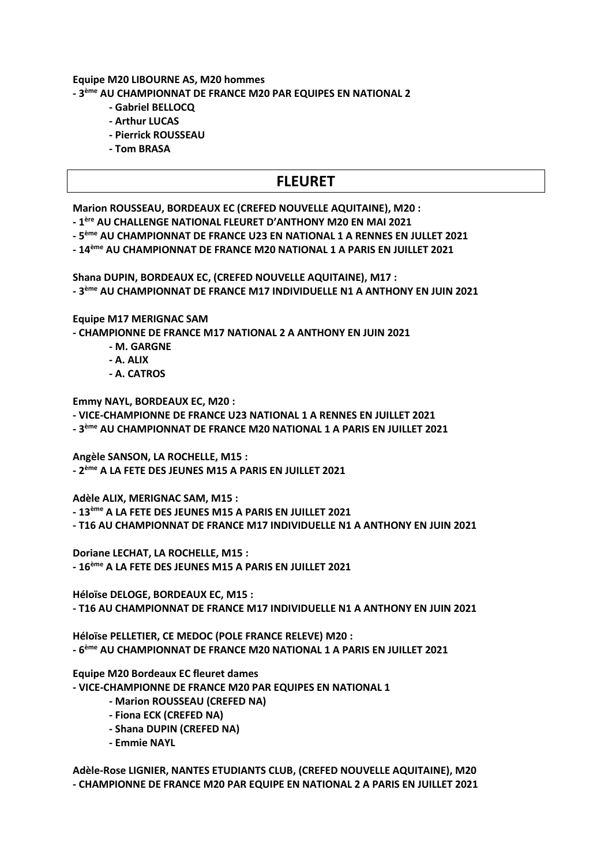#### Equipe M20 LIBOURNE AS, M20 hommes - 3<sup>ème</sup> AU CHAMPIONNAT DE FRANCE M20 PAR EQUIPES EN NATIONAL 2

- Gabriel BELLOCO
- Arthur LUCAS
- Pierrick ROUSSEAU
- Tom BRASA

## **FLEURET**

Marion ROUSSEAU, BORDEAUX EC (CREFED NOUVELLE AQUITAINE), M20 :

- 1ère AU CHALLENGE NATIONAL FLEURET D'ANTHONY M20 EN MAI 2021
- 5<sup>ème</sup> AU CHAMPIONNAT DE FRANCE U23 EN NATIONAL 1 A RENNES EN JULLET 2021
- 14<sup>ème</sup> AU CHAMPIONNAT DE FRANCE M20 NATIONAL 1 A PARIS EN JUILLET 2021

Shana DUPIN, BORDEAUX EC, (CREFED NOUVELLE AQUITAINE), M17 : - 3<sup>ème</sup> AU CHAMPIONNAT DE FRANCE M17 INDIVIDUELLE N1 A ANTHONY EN JUIN 2021

**Equipe M17 MERIGNAC SAM** 

- CHAMPIONNE DE FRANCE M17 NATIONAL 2 A ANTHONY EN JUIN 2021

- M. GARGNE
- A. ALIX
- A. CATROS

**Emmy NAYL, BORDEAUX EC, M20:** 

- VICE-CHAMPIONNE DE FRANCE U23 NATIONAL 1 A RENNES EN JUILLET 2021

- 3<sup>ème</sup> AU CHAMPIONNAT DE FRANCE M20 NATIONAL 1 A PARIS EN JUILLET 2021

Angèle SANSON, LA ROCHELLE, M15 :

- 2<sup>ème</sup> A LA FETE DES JEUNES M15 A PARIS EN JUILLET 2021

Adèle ALIX. MERIGNAC SAM. M15 :

- 13<sup>ème</sup> A LA FETE DES JEUNES M15 A PARIS EN JUILLET 2021

- T16 AU CHAMPIONNAT DE FRANCE M17 INDIVIDUELLE N1 A ANTHONY EN IUIN 2021

Doriane LECHAT, LA ROCHELLE, M15 :

- 16<sup>ème</sup> A LA FETE DES JEUNES M15 A PARIS EN JUILLET 2021

Héloïse DELOGE, BORDEAUX EC, M15 : - T16 AU CHAMPIONNAT DE FRANCE M17 INDIVIDUELLE N1 A ANTHONY EN JUIN 2021

Héloïse PELLETIER. CE MEDOC (POLE FRANCE RELEVE) M20 : - 6<sup>ème</sup> AU CHAMPIONNAT DE FRANCE M20 NATIONAL 1 A PARIS EN JUILLET 2021

**Equipe M20 Bordeaux EC fleuret dames** 

- VICE-CHAMPIONNE DE FRANCE M20 PAR EQUIPES EN NATIONAL 1

- Marion ROUSSEAU (CREFED NA)
- Fiona ECK (CREFED NA)
- Shana DUPIN (CREFED NA)
- Emmie NAYL

Adèle-Rose LIGNIER, NANTES ETUDIANTS CLUB, (CREFED NOUVELLE AQUITAINE), M20 - CHAMPIONNE DE FRANCE M20 PAR EQUIPE EN NATIONAL 2 A PARIS EN JUILLET 2021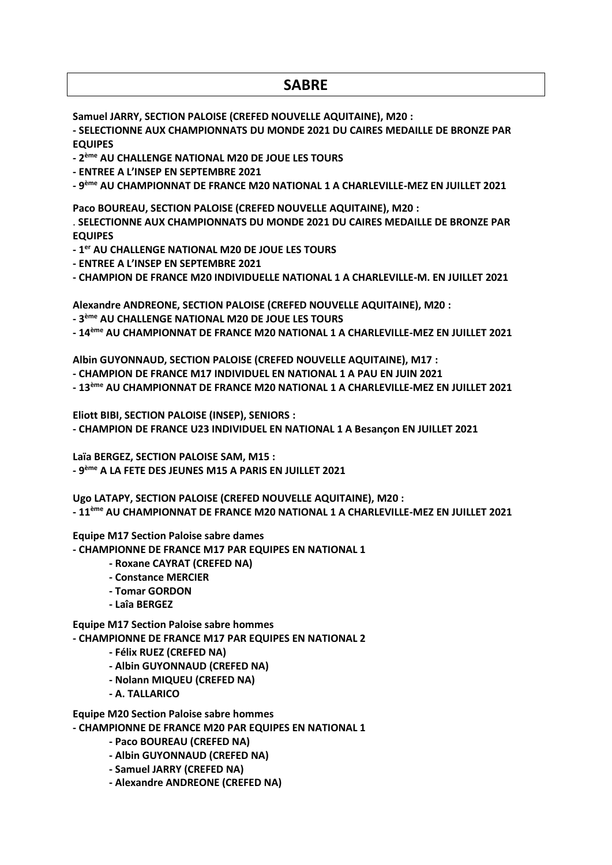### **SABRE**

Samuel JARRY, SECTION PALOISE (CREFED NOUVELLE AQUITAINE), M20 :

- SELECTIONNE AUX CHAMPIONNATS DU MONDE 2021 DU CAIRES MEDAILLE DE BRONZE PAR **EQUIPES** 

- 2<sup>ème</sup> AU CHALLENGE NATIONAL M20 DE JOUE LES TOURS

- ENTREE A L'INSEP EN SEPTEMBRE 2021

- 9<sup>ème</sup> AU CHAMPIONNAT DE FRANCE M20 NATIONAL 1 A CHARLEVILLE-MEZ EN JUILLET 2021

Paco BOUREAU, SECTION PALOISE (CREFED NOUVELLE AQUITAINE), M20 :

. SELECTIONNE AUX CHAMPIONNATS DU MONDE 2021 DU CAIRES MEDAILLE DE BRONZE PAR **EQUIPES** 

- 1<sup>er</sup> AU CHALLENGE NATIONAL M20 DE JOUE LES TOURS

- ENTREE A L'INSEP EN SEPTEMBRE 2021

- CHAMPION DE FRANCE M20 INDIVIDUELLE NATIONAL 1 A CHARLEVILLE-M. EN JUILLET 2021

Alexandre ANDREONE, SECTION PALOISE (CREFED NOUVELLE AQUITAINE), M20 :

- 3<sup>ème</sup> AU CHALLENGE NATIONAL M20 DE JOUE LES TOURS

- 14<sup>ème</sup> AU CHAMPIONNAT DE FRANCE M20 NATIONAL 1 A CHARLEVILLE-MEZ EN JUILLET 2021

Albin GUYONNAUD. SECTION PALOISE (CREFED NOUVELLE AQUITAINE). M17:

- CHAMPION DE FRANCE M17 INDIVIDUEL EN NATIONAL 1 A PAU EN JUIN 2021

- 13<sup>ème</sup> AU CHAMPIONNAT DE FRANCE M20 NATIONAL 1 A CHARLEVILLE-MEZ EN JUILLET 2021

Eliott BIBI, SECTION PALOISE (INSEP), SENIORS :

- CHAMPION DE FRANCE U23 INDIVIDUEL EN NATIONAL 1 A Besancon EN JUILLET 2021

Laïa BERGEZ, SECTION PALOISE SAM, M15 :

- 9<sup>ème</sup> A LA FETE DES JEUNES M15 A PARIS EN JUILLET 2021

Ugo LATAPY, SECTION PALOISE (CREFED NOUVELLE AQUITAINE), M20 :

- 11<sup>ème</sup> AU CHAMPIONNAT DE FRANCE M20 NATIONAL 1 A CHARLEVILLE-MEZ EN JUILLET 2021

**Equipe M17 Section Paloise sabre dames** 

- CHAMPIONNE DE FRANCE M17 PAR EQUIPES EN NATIONAL 1

- CHAMPIONNE DE FRANCE M17 PAR EQUIPES EN NATIONAL 2

- CHAMPIONNE DE FRANCE M20 PAR EQUIPES EN NATIONAL 1

- Roxane CAYRAT (CREFED NA)

- Constance MERCIER
- 
- 

- A. TALLARICO

- 
- 

- Laîa BERGEZ

- 
- 
- 
- 
- 
- 
- 
- 
- 
- 
- 
- 
- 
- 
- 
- 
- 
- 
- 
- 
- 
- 
- 
- 
- 
- 

**Equipe M17 Section Paloise sabre hommes** 

- Albin GUYONNAUD (CREFED NA) - Nolann MIQUEU (CREFED NA)

- Félix RUEZ (CREFED NA)

**Equipe M20 Section Paloise sabre hommes** 

- Paco BOUREAU (CREFED NA) - Albin GUYONNAUD (CREFED NA) - Samuel JARRY (CREFED NA)

- Alexandre ANDREONE (CREFED NA)

- Tomar GORDON
	-
- 
- 
- 
- 
- 
- 
- 
- 
- 
- 
- 
- 
-